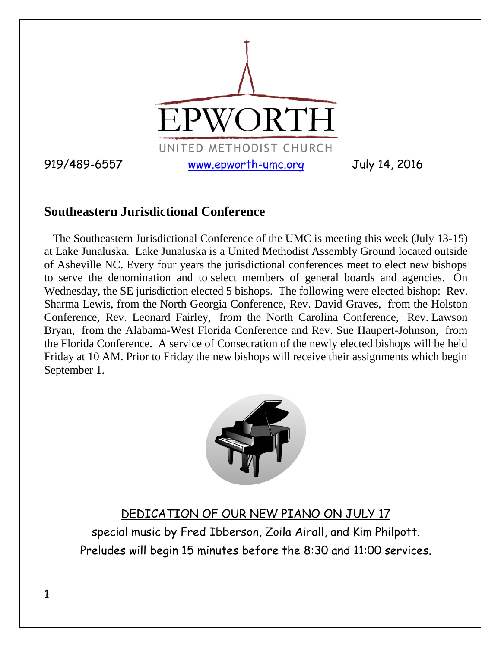

## **Southeastern Jurisdictional Conference**

 The Southeastern Jurisdictional Conference of the UMC is meeting this week (July 13-15) at Lake Junaluska. Lake Junaluska is a United Methodist Assembly Ground located outside of Asheville NC. Every four years the jurisdictional conferences meet to elect new bishops to serve the denomination and to select members of general boards and agencies. On Wednesday, the SE jurisdiction elected 5 bishops. The following were elected bishop: Rev. Sharma Lewis, from the North Georgia Conference, Rev. David Graves, from the Holston Conference, Rev. Leonard Fairley, from the North Carolina Conference, Rev. Lawson Bryan, from the Alabama-West Florida Conference and Rev. Sue Haupert-Johnson, from the Florida Conference. A service of Consecration of the newly elected bishops will be held Friday at 10 AM. Prior to Friday the new bishops will receive their assignments which begin September 1.



## DEDICATION OF OUR NEW PIANO ON JULY 17

special music by Fred Ibberson, Zoila Airall, and Kim Philpott. Preludes will begin 15 minutes before the 8:30 and 11:00 services.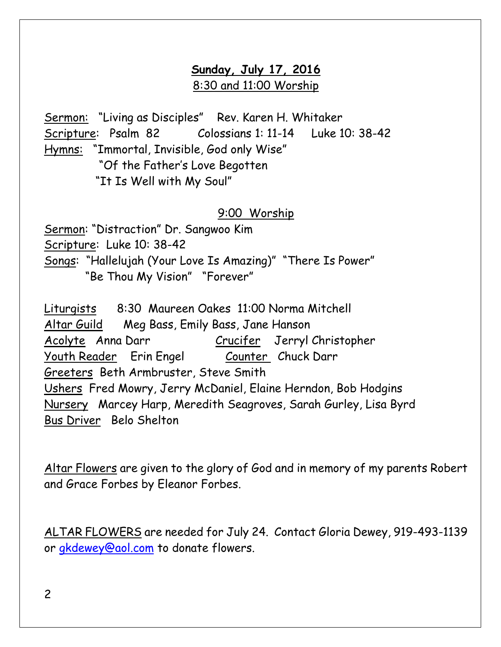# **Sunday, July 17, 2016** 8:30 and 11:00 Worship

Sermon: "Living as Disciples" Rev. Karen H. Whitaker Scripture: Psalm 82 Colossians 1: 11-14 Luke 10: 38-42 Hymns: "Immortal, Invisible, God only Wise" "Of the Father's Love Begotten "It Is Well with My Soul"

## 9:00 Worship

Sermon: "Distraction" Dr. Sangwoo Kim Scripture: Luke 10: 38-42 Songs: "Hallelujah (Your Love Is Amazing)" "There Is Power" "Be Thou My Vision" "Forever"

Liturgists 8:30 Maureen Oakes 11:00 Norma Mitchell Altar Guild Meg Bass, Emily Bass, Jane Hanson Acolyte Anna Darr Crucifer Jerryl Christopher Youth Reader Erin Engel Counter Chuck Darr Greeters Beth Armbruster, Steve Smith Ushers Fred Mowry, Jerry McDaniel, Elaine Herndon, Bob Hodgins NurseryMarcey Harp, Meredith Seagroves, Sarah Gurley, Lisa Byrd Bus Driver Belo Shelton

Altar Flowers are given to the glory of God and in memory of my parents Robert and Grace Forbes by Eleanor Forbes.

ALTAR FLOWERS are needed for July 24. Contact Gloria Dewey, 919-493-1139 or [gkdewey@aol.com](mailto:gkdewey@aol.com) to donate flowers.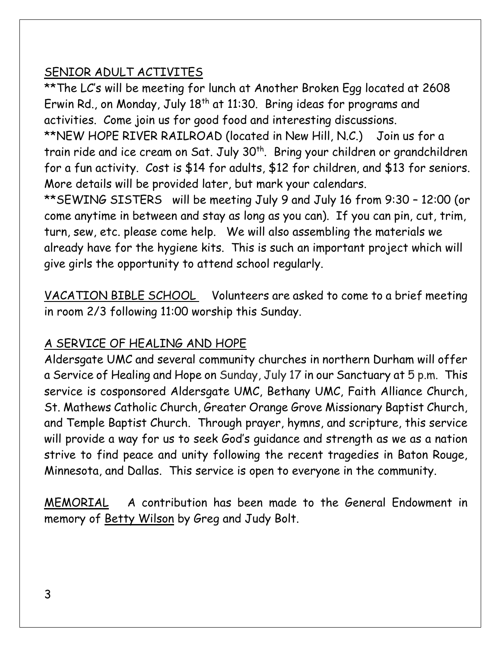## SENIOR ADULT ACTIVITES

\*\*The LC's will be meeting for lunch at Another Broken Egg located at 2608 Erwin Rd., on Monday, July 18<sup>th</sup> at 11:30. Bring ideas for programs and activities. Come join us for good food and interesting discussions. \*\*NEW HOPE RIVER RAILROAD (located in New Hill, N.C.) Join us for a train ride and ice cream on Sat. July 30<sup>th</sup>. Bring your children or grandchildren for a fun activity. Cost is \$14 for adults, \$12 for children, and \$13 for seniors. More details will be provided later, but mark your calendars. \*\*SEWING SISTERS will be meeting July 9 and July 16 from 9:30 – 12:00 (or come anytime in between and stay as long as you can). If you can pin, cut, trim, turn, sew, etc. please come help. We will also assembling the materials we already have for the hygiene kits. This is such an important project which will give girls the opportunity to attend school regularly.

VACATION BIBLE SCHOOL Volunteers are asked to come to a brief meeting in room 2/3 following 11:00 worship this Sunday.

# A SERVICE OF HEALING AND HOPE

Aldersgate UMC and several community churches in northern Durham will offer a Service of Healing and Hope on Sunday, July 17 in our Sanctuary at 5 p.m. This service is cosponsored Aldersgate UMC, Bethany UMC, Faith Alliance Church, St. Mathews Catholic Church, Greater Orange Grove Missionary Baptist Church, and Temple Baptist Church. Through prayer, hymns, and scripture, this service will provide a way for us to seek God's guidance and strength as we as a nation strive to find peace and unity following the recent tragedies in Baton Rouge, Minnesota, and Dallas. This service is open to everyone in the community.

MEMORIAL A contribution has been made to the General Endowment in memory of Betty Wilson by Greg and Judy Bolt.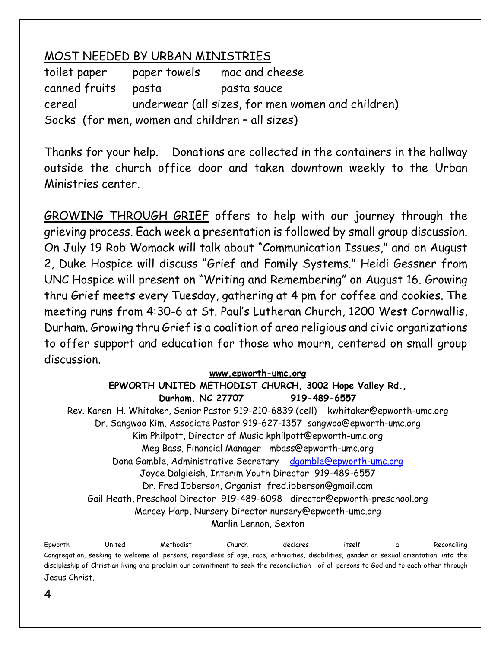## MOST NEEDED BY URBAN MINISTRIES

toilet paper paper towels mac and cheese canned fruits pasta pasta sauce cereal underwear (all sizes, for men women and children) Socks (for men, women and children – all sizes)

Thanks for your help. Donations are collected in the containers in the hallway outside the church office door and taken downtown weekly to the Urban Ministries center.

GROWING THROUGH GRIEF offers to help with our journey through the grieving process. Each week a presentation is followed by small group discussion. On July 19 Rob Womack will talk about "Communication Issues," and on August 2, Duke Hospice will discuss "Grief and Family Systems." Heidi Gessner from UNC Hospice will present on "Writing and Remembering" on August 16. Growing thru Grief meets every Tuesday, gathering at 4 pm for coffee and cookies. The meeting runs from 4:30-6 at St. Paul's Lutheran Church, 1200 West Cornwallis, Durham. Growing thru Grief is a coalition of area religious and civic organizations to offer support and education for those who mourn, centered on small group discussion.

### **www.epworth-umc.org**

#### **EPWORTH UNITED METHODIST CHURCH, 3002 Hope Valley Rd., Durham, NC 27707 919-489-6557**

Rev. Karen H. Whitaker, Senior Pastor 919-210-6839 (cell) kwhitaker@epworth-umc.org Dr. Sangwoo Kim, Associate Pastor 919-627-1357 sangwoo@epworth-umc.org Kim Philpott, Director of Music kphilpott@epworth-umc.org Meg Bass, Financial Manager mbass@epworth-umc.org Dona Gamble, Administrative Secretary [dgamble@epworth-umc.org](mailto:dgamble@epworth-umc.org) Joyce Dalgleish, Interim Youth Director 919-489-6557 Dr. Fred Ibberson, Organist fred.ibberson@gmail.com Gail Heath, Preschool Director 919-489-6098 director@epworth-preschool.org Marcey Harp, Nursery Director nursery@epworth-umc.org Marlin Lennon, Sexton

Epworth United Methodist Church declares itself a Reconciling Congregation, seeking to welcome all persons, regardless of age, race, ethnicities, disabilities, gender or sexual orientation, into the discipleship of Christian living and proclaim our commitment to seek the reconciliation of all persons to God and to each other through Jesus Christ.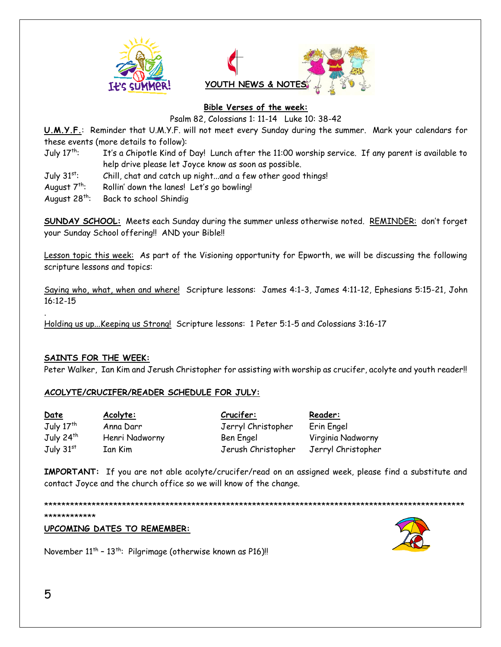



## **Bible Verses of the week:**

Psalm 82, Colossians 1: 11-14 Luke 10: 38-42

**U.M.Y.F.**: Reminder that U.M.Y.F. will not meet every Sunday during the summer. Mark your calendars for these events (more details to follow):

- July 17<sup>th</sup>: It's a Chipotle Kind of Day! Lunch after the 11:00 worship service. If any parent is available to help drive please let Joyce know as soon as possible.
- July 31<sup>st</sup>: Chill, chat and catch up night...and a few other good things!
- August  $7<sup>th</sup>$ : Rollin' down the lanes! Let's go bowling!
- August  $28^{th}$ : Back to school Shindig

**SUNDAY SCHOOL:** Meets each Sunday during the summer unless otherwise noted. REMINDER: don't forget your Sunday School offering!! AND your Bible!!

Lesson topic this week: As part of the Visioning opportunity for Epworth, we will be discussing the following scripture lessons and topics:

Saying who, what, when and where! Scripture lessons: James 4:1-3, James 4:11-12, Ephesians 5:15-21, John 16:12-15

Holding us up...Keeping us Strong! Scripture lessons: 1 Peter 5:1-5 and Colossians 3:16-17

#### **SAINTS FOR THE WEEK:**

Peter Walker, Ian Kim and Jerush Christopher for assisting with worship as crucifer, acolyte and youth reader!!

#### **ACOLYTE/CRUCIFER/READER SCHEDULE FOR JULY:**

| Date                  | Acolyte:       | Crucifer:          | Reader:            |  |  |
|-----------------------|----------------|--------------------|--------------------|--|--|
| July $17^{th}$        | Anna Darr      | Jerryl Christopher | Erin Engel         |  |  |
| July 24 <sup>th</sup> | Henri Nadworny | Ben Engel          | Virginia Nadworny  |  |  |
| July 31 <sup>st</sup> | Ian Kim        | Jerush Christopher | Jerryl Christopher |  |  |

**IMPORTANT:** If you are not able acolyte/crucifer/read on an assigned week, please find a substitute and contact Joyce and the church office so we will know of the change.

\*\*\*\*\*\*\*\*\*\*\*\*\*\*\*\*\*\*\*\*\*\*\*\*\*\*\*\*\*\*\*\*\*\*\*\*\*\*\*\*\*\*\*\*\*\*\*\*\*\*\*\*\*\*\*\*\*\*\*\*\*\*\*\*\*\*\*\*\*\*\*\*\*\*\*\*\*\*\*\*\*\*\*\*\*\*\*\*\*\*\*\*\*\*\*\*\*

#### \*\*\*\*\*\*\*\*\*\*\*\*

**UPCOMING DATES TO REMEMBER:**





.